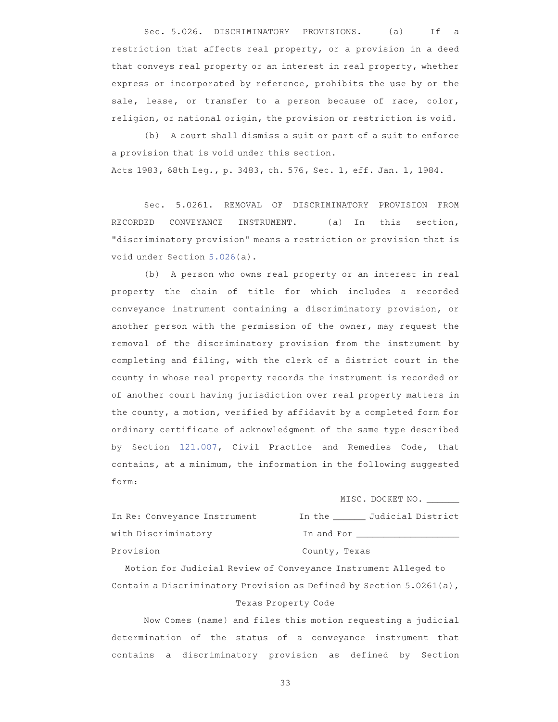Sec. 5.026. DISCRIMINATORY PROVISIONS. (a) If a restriction that affects real property, or a provision in a deed that conveys real property or an interest in real property, whether express or incorporated by reference, prohibits the use by or the sale, lease, or transfer to a person because of race, color, religion, or national origin, the provision or restriction is void.

(b) A court shall dismiss a suit or part of a suit to enforce a provision that is void under this section. Acts 1983, 68th Leg., p. 3483, ch. 576, Sec. 1, eff. Jan. 1, 1984.

Sec. 5.0261. REMOVAL OF DISCRIMINATORY PROVISION FROM RECORDED CONVEYANCE INSTRUMENT. (a) In this section, "discriminatory provision" means a restriction or provision that is void under Section 5.026(a).

(b) A person who owns real property or an interest in real property the chain of title for which includes a recorded conveyance instrument containing a discriminatory provision, or another person with the permission of the owner, may request the removal of the discriminatory provision from the instrument by completing and filing, with the clerk of a district court in the county in whose real property records the instrument is recorded or of another court having jurisdiction over real property matters in the county, a motion, verified by affidavit by a completed form for ordinary certificate of acknowledgment of the same type described by Section 121.007, Civil Practice and Remedies Code, that contains, at a minimum, the information in the following suggested form:

|                              | MISC. DOCKET NO.         |
|------------------------------|--------------------------|
| In Re: Conveyance Instrument | In the Judicial District |
| with Discriminatory          | In and For               |
| Provision                    | County, Texas            |

Motion for Judicial Review of Conveyance Instrument Alleged to Contain a Discriminatory Provision as Defined by Section 5.0261(a), Texas Property Code

Now Comes (name) and files this motion requesting a judicial determination of the status of a conveyance instrument that contains a discriminatory provision as defined by Section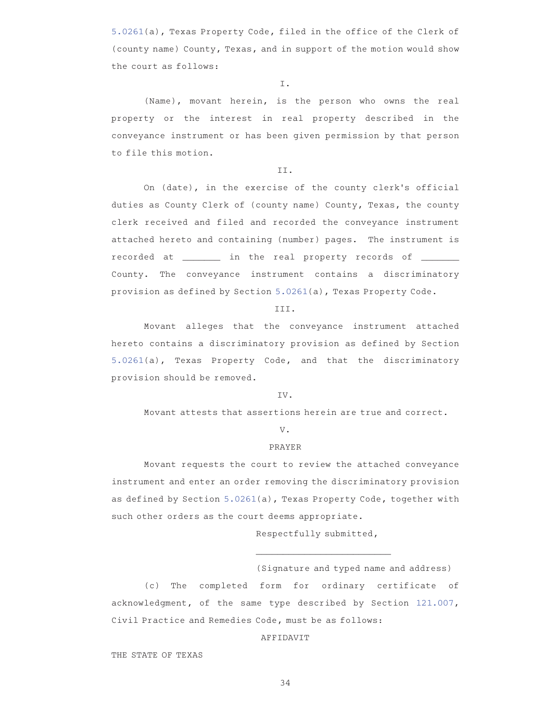5.0261(a), Texas Property Code, filed in the office of the Clerk of (county name) County, Texas, and in support of the motion would show the court as follows:

I.

(Name), movant herein, is the person who owns the real property or the interest in real property described in the conveyance instrument or has been given permission by that person to file this motion.

## II.

On (date), in the exercise of the county clerk's official duties as County Clerk of (county name) County, Texas, the county clerk received and filed and recorded the conveyance instrument attached hereto and containing (number) pages. The instrument is recorded at \_\_\_\_\_\_\_\_\_ in the real property records of \_\_\_\_\_\_ County. The conveyance instrument contains a discriminatory provision as defined by Section 5.0261(a), Texas Property Code.

## III.

Movant alleges that the conveyance instrument attached hereto contains a discriminatory provision as defined by Section 5.0261(a), Texas Property Code, and that the discriminatory provision should be removed.

## IV.

Movant attests that assertions herein are true and correct.

#### V.

# PRAYER

Movant requests the court to review the attached conveyance instrument and enter an order removing the discriminatory provision as defined by Section 5.0261(a), Texas Property Code, together with such other orders as the court deems appropriate.

Respectfully submitted,

\_\_\_\_\_\_\_\_\_\_\_\_\_\_\_\_\_\_\_\_\_\_\_\_\_

(Signature and typed name and address)

(c) The completed form for ordinary certificate of acknowledgment, of the same type described by Section 121.007, Civil Practice and Remedies Code, must be as follows:

# AFFIDAVIT

THE STATE OF TEXAS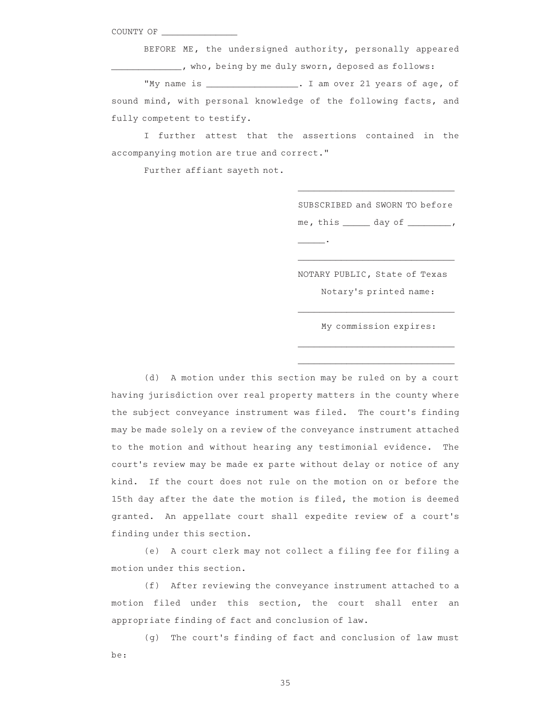COUNTY OF

BEFORE ME, the undersigned authority, personally appeared who, being by me duly sworn, deposed as follows:

"My name is \_\_\_\_\_\_\_\_\_\_\_\_\_\_\_\_\_. I am over 21 years of age, of sound mind, with personal knowledge of the following facts, and fully competent to testify.

I further attest that the assertions contained in the accompanying motion are true and correct."

Further affiant sayeth not.

SUBSCRIBED and SWORN TO before me, this \_\_\_\_\_\_ day of \_\_\_\_\_\_\_\_,

\_\_\_\_\_\_\_\_\_\_\_\_\_\_\_\_\_\_\_\_\_\_\_\_\_\_\_\_\_

 $\overline{\phantom{a}}$  .

NOTARY PUBLIC, State of Texas Notary 's printed name:

\_\_\_\_\_\_\_\_\_\_\_\_\_\_\_\_\_\_\_\_\_\_\_\_\_\_\_\_\_

\_\_\_\_\_\_\_\_\_\_\_\_\_\_\_\_\_\_\_\_\_\_\_\_\_\_\_\_\_ \_\_\_\_\_\_\_\_\_\_\_\_\_\_\_\_\_\_\_\_\_\_\_\_\_\_\_\_\_

\_\_\_\_\_\_\_\_\_\_\_\_\_\_\_\_\_\_\_\_\_\_\_\_\_\_\_\_\_

My commission expires:

(d) A motion under this section may be ruled on by a court having jurisdiction over real property matters in the county where the subject conveyance instrument was filed. The court's finding may be made solely on a review of the conveyance instrument attached to the motion and without hearing any testimonial evidence. The court 's review may be made ex parte without delay or notice of any kind. If the court does not rule on the motion on or before the 15th day after the date the motion is filed, the motion is deemed granted. An appellate court shall expedite review of a court's finding under this section.

(e) A court clerk may not collect a filing fee for filing a motion under this section.

(f) After reviewing the conveyance instrument attached to a motion filed under this section, the court shall enter an appropriate finding of fact and conclusion of law.

(g) The court's finding of fact and conclusion of law must be: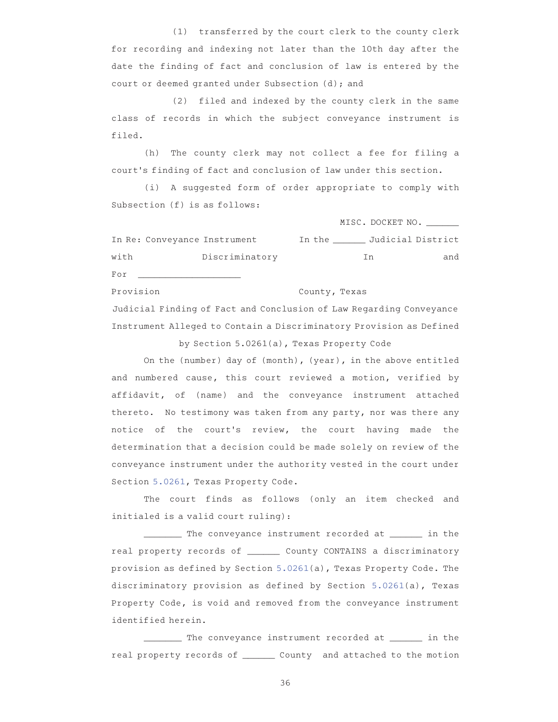(1) transferred by the court clerk to the county clerk for recording and indexing not later than the 10th day after the date the finding of fact and conclusion of law is entered by the court or deemed granted under Subsection (d); and

(2) filed and indexed by the county clerk in the same class of records in which the subject conveyance instrument is filed.

(h) The county clerk may not collect a fee for filing a court 's finding of fact and conclusion of law under this section.

(i) A suggested form of order appropriate to comply with Subsection (f) is as follows:

MISC. DOCKET NO. In Re: Conveyance Instrument In the \_\_\_\_\_\_ Judicial District with Discriminatory and Discriminatory and For Provision<br>
County, Texas Judicial Finding of Fact and Conclusion of Law Regarding Conveyance

Instrument Alleged to Contain a Discriminatory Provision as Defined by Section 5.0261(a), Texas Property Code

On the (number) day of (month), (year), in the above entitled and numbered cause, this court reviewed a motion, verified by affidavit, of (name) and the conveyance instrument attached thereto. No testimony was taken from any party, nor was there any notice of the court 's review, the court having made the determination that a decision could be made solely on review of the conveyance instrument under the authority vested in the court under Section 5.0261, Texas Property Code.

The court finds as follows (only an item checked and initialed is a valid court ruling):

\_\_\_\_\_\_\_ The conveyance instrument recorded at \_\_\_\_\_\_ in the real property records of \_\_\_\_\_\_ County CONTAINS a discriminatory provision as defined by Section 5.0261(a), Texas Property Code. The discriminatory provision as defined by Section 5.0261(a), Texas Property Code, is void and removed from the conveyance instrument identified herein.

\_\_\_\_\_\_\_ The conveyance instrument recorded at \_\_\_\_\_\_ in the real property records of \_\_\_\_\_\_\_ County and attached to the motion